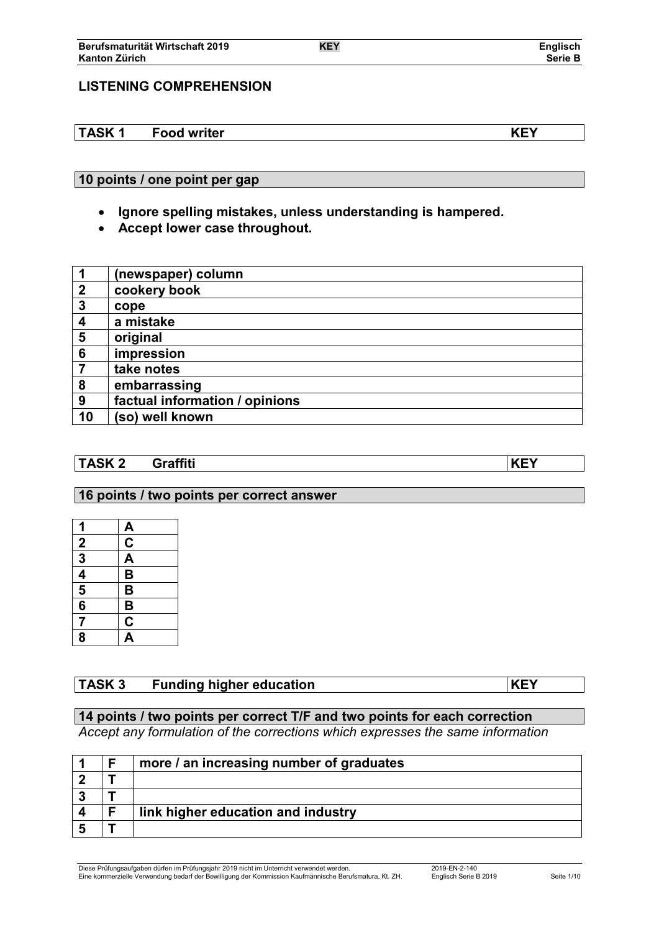# **LISTENING COMPREHENSION**

**TASK 1 Food writer KEY**

# **10 points / one point per gap**

- **Ignore spelling mistakes, unless understanding is hampered.**
- **Accept lower case throughout.**

| $\mathbf 1$      | (newspaper) column             |
|------------------|--------------------------------|
| $\mathbf 2$      | cookery book                   |
| $\boldsymbol{3}$ | cope                           |
| 4                | a mistake                      |
| 5                | original                       |
| 6                | impression                     |
|                  | take notes                     |
| 8                | embarrassing                   |
| 9                | factual information / opinions |
| 10               | (so) well known                |

# **TASK 2 Graffiti KEY**

## **16 points / two points per correct answer**

| 1                       | <u>А</u>                |
|-------------------------|-------------------------|
| $\overline{2}$          | $\overline{\text{c}}$   |
| $\overline{\mathbf{3}}$ | $\overline{\mathbf{A}}$ |
| $\frac{4}{5}$           | B                       |
|                         | B                       |
| $\overline{\mathbf{6}}$ | $\overline{\mathbf{B}}$ |
| $\overline{7}$          | $\overline{\mathbf{C}}$ |
| 8                       | $\Delta$                |

# **TASK 3 Funding higher education KEY**

# **14 points / two points per correct T/F and two points for each correction**

*Accept any formulation of the corrections which expresses the same information*

|  | more / an increasing number of graduates |
|--|------------------------------------------|
|  |                                          |
|  |                                          |
|  | link higher education and industry       |
|  |                                          |

Diese Prüfungsaufgaben dürfen im Prüfungsjahr 2019 nicht im Unterricht verwendet werden. 2019-EN-2-140 Eine kommerzielle Verwendung bedarf der Bewilligung der Kommission Kaufmännische Berufsmatura, Kt. ZH. Englisch Serie B 2019 Seite 1/10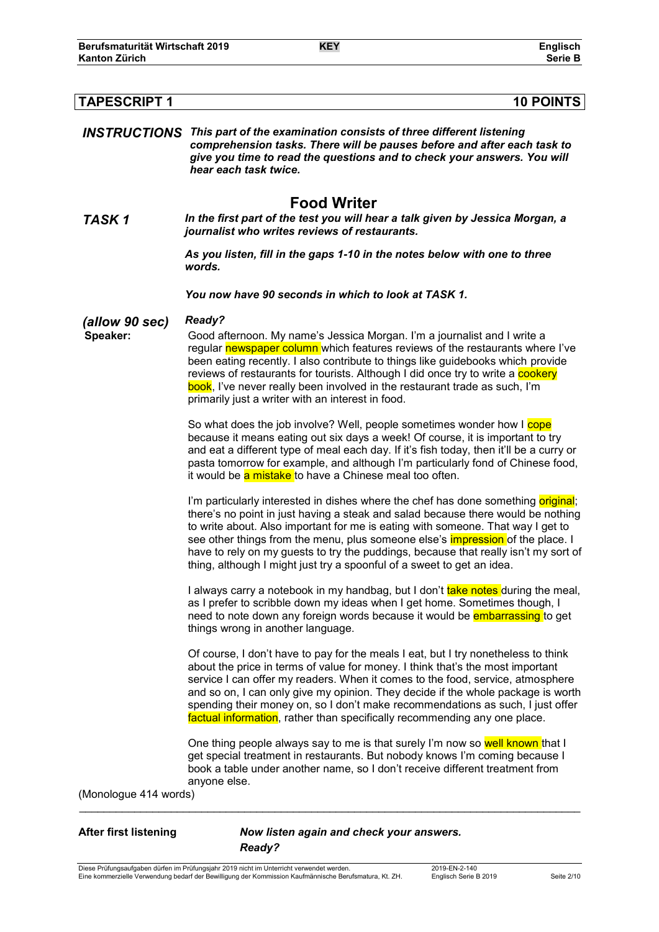| <b>TAPESCRIPT 1</b><br><b>10 POINTS</b> |                                                                                                                                                                                                                                                                                                                                                                                                                                                                                                                    |  |
|-----------------------------------------|--------------------------------------------------------------------------------------------------------------------------------------------------------------------------------------------------------------------------------------------------------------------------------------------------------------------------------------------------------------------------------------------------------------------------------------------------------------------------------------------------------------------|--|
|                                         | <b>INSTRUCTIONS</b> This part of the examination consists of three different listening<br>comprehension tasks. There will be pauses before and after each task to<br>give you time to read the questions and to check your answers. You will<br>hear each task twice.                                                                                                                                                                                                                                              |  |
| TASK <sub>1</sub>                       | <b>Food Writer</b><br>In the first part of the test you will hear a talk given by Jessica Morgan, a<br>journalist who writes reviews of restaurants.                                                                                                                                                                                                                                                                                                                                                               |  |
|                                         | As you listen, fill in the gaps 1-10 in the notes below with one to three<br>words.                                                                                                                                                                                                                                                                                                                                                                                                                                |  |
|                                         | You now have 90 seconds in which to look at TASK 1.                                                                                                                                                                                                                                                                                                                                                                                                                                                                |  |
| (allow 90 sec)<br>Speaker:              | Ready?<br>Good afternoon. My name's Jessica Morgan. I'm a journalist and I write a<br>regular newspaper column which features reviews of the restaurants where I've<br>been eating recently. I also contribute to things like guidebooks which provide<br>reviews of restaurants for tourists. Although I did once try to write a cookery<br>book, I've never really been involved in the restaurant trade as such, I'm<br>primarily just a writer with an interest in food.                                       |  |
|                                         | So what does the job involve? Well, people sometimes wonder how I cope<br>because it means eating out six days a week! Of course, it is important to try<br>and eat a different type of meal each day. If it's fish today, then it'll be a curry or<br>pasta tomorrow for example, and although I'm particularly fond of Chinese food,<br>it would be a mistake to have a Chinese meal too often.                                                                                                                  |  |
|                                         | I'm particularly interested in dishes where the chef has done something original;<br>there's no point in just having a steak and salad because there would be nothing<br>to write about. Also important for me is eating with someone. That way I get to<br>see other things from the menu, plus someone else's <i>impression</i> of the place. I<br>have to rely on my guests to try the puddings, because that really isn't my sort of<br>thing, although I might just try a spoonful of a sweet to get an idea. |  |
|                                         | I always carry a notebook in my handbag, but I don't take notes during the meal,<br>as I prefer to scribble down my ideas when I get home. Sometimes though, I<br>need to note down any foreign words because it would be <b>embarrassing</b> to get<br>things wrong in another language.                                                                                                                                                                                                                          |  |
|                                         | Of course, I don't have to pay for the meals I eat, but I try nonetheless to think<br>about the price in terms of value for money. I think that's the most important<br>service I can offer my readers. When it comes to the food, service, atmosphere<br>and so on, I can only give my opinion. They decide if the whole package is worth<br>spending their money on, so I don't make recommendations as such, I just offer<br>factual information, rather than specifically recommending any one place.          |  |
|                                         | One thing people always say to me is that surely I'm now so well known that I<br>get special treatment in restaurants. But nobody knows I'm coming because I<br>book a table under another name, so I don't receive different treatment from<br>anyone else.                                                                                                                                                                                                                                                       |  |
| (Monologue 414 words)                   |                                                                                                                                                                                                                                                                                                                                                                                                                                                                                                                    |  |

**After first listening** *Now listen again and check your answers. Ready?*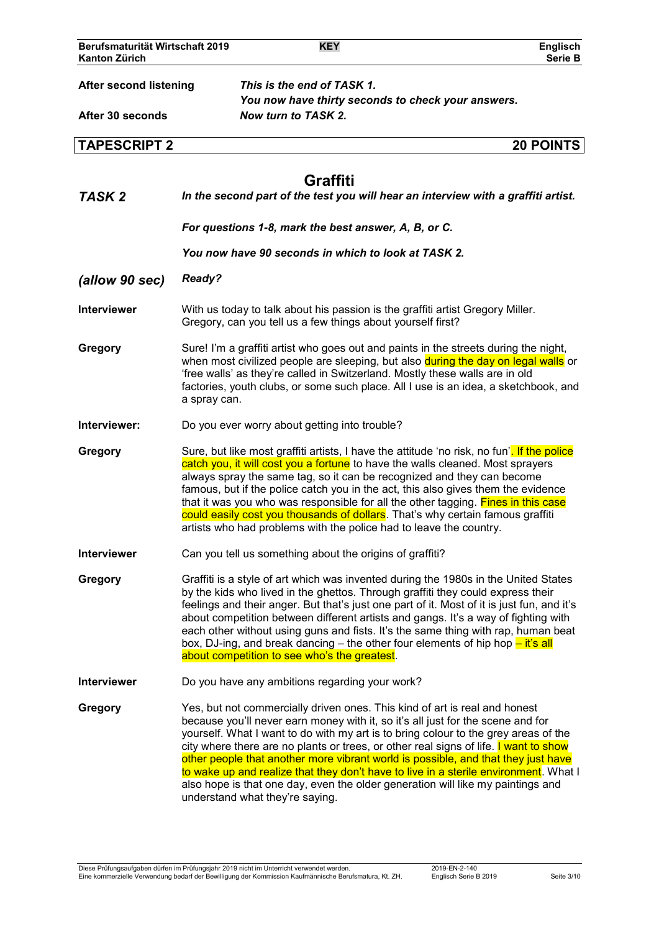| Berufsmaturität Wirtschaft 2019<br><b>Kanton Zürich</b> |               | <b>KEY</b>                                               |                                                                                                                                                                                                                                                                                                                                                                                                                                                                                                                      | <b>Englisch</b><br>Serie B                                                                                                                                                                                                                                             |
|---------------------------------------------------------|---------------|----------------------------------------------------------|----------------------------------------------------------------------------------------------------------------------------------------------------------------------------------------------------------------------------------------------------------------------------------------------------------------------------------------------------------------------------------------------------------------------------------------------------------------------------------------------------------------------|------------------------------------------------------------------------------------------------------------------------------------------------------------------------------------------------------------------------------------------------------------------------|
| <b>After second listening</b><br>After 30 seconds       |               | This is the end of TASK 1.<br>Now turn to TASK 2.        | You now have thirty seconds to check your answers.                                                                                                                                                                                                                                                                                                                                                                                                                                                                   |                                                                                                                                                                                                                                                                        |
| <b>TAPESCRIPT 2</b>                                     |               |                                                          |                                                                                                                                                                                                                                                                                                                                                                                                                                                                                                                      | <b>20 POINTS</b>                                                                                                                                                                                                                                                       |
| TASK <sub>2</sub>                                       |               | <b>Graffiti</b>                                          |                                                                                                                                                                                                                                                                                                                                                                                                                                                                                                                      | In the second part of the test you will hear an interview with a graffiti artist.                                                                                                                                                                                      |
|                                                         |               |                                                          | For questions 1-8, mark the best answer, A, B, or C.                                                                                                                                                                                                                                                                                                                                                                                                                                                                 |                                                                                                                                                                                                                                                                        |
|                                                         |               |                                                          | You now have 90 seconds in which to look at TASK 2.                                                                                                                                                                                                                                                                                                                                                                                                                                                                  |                                                                                                                                                                                                                                                                        |
| (allow 90 sec)                                          | <b>Ready?</b> |                                                          |                                                                                                                                                                                                                                                                                                                                                                                                                                                                                                                      |                                                                                                                                                                                                                                                                        |
| Interviewer                                             |               |                                                          | With us today to talk about his passion is the graffiti artist Gregory Miller.<br>Gregory, can you tell us a few things about yourself first?                                                                                                                                                                                                                                                                                                                                                                        |                                                                                                                                                                                                                                                                        |
| Gregory                                                 | a spray can.  |                                                          | Sure! I'm a graffiti artist who goes out and paints in the streets during the night,<br>'free walls' as they're called in Switzerland. Mostly these walls are in old                                                                                                                                                                                                                                                                                                                                                 | when most civilized people are sleeping, but also during the day on legal walls or<br>factories, youth clubs, or some such place. All I use is an idea, a sketchbook, and                                                                                              |
| Interviewer:                                            |               | Do you ever worry about getting into trouble?            |                                                                                                                                                                                                                                                                                                                                                                                                                                                                                                                      |                                                                                                                                                                                                                                                                        |
| Gregory                                                 |               |                                                          | catch you, it will cost you a fortune to have the walls cleaned. Most sprayers<br>always spray the same tag, so it can be recognized and they can become<br>famous, but if the police catch you in the act, this also gives them the evidence<br>that it was you who was responsible for all the other tagging. Fines in this case<br>could easily cost you thousands of dollars. That's why certain famous graffiti<br>artists who had problems with the police had to leave the country.                           | Sure, but like most graffiti artists, I have the attitude 'no risk, no fun'. If the police                                                                                                                                                                             |
| <b>Interviewer</b>                                      |               | Can you tell us something about the origins of graffiti? |                                                                                                                                                                                                                                                                                                                                                                                                                                                                                                                      |                                                                                                                                                                                                                                                                        |
| Gregory                                                 |               | about competition to see who's the greatest.             | by the kids who lived in the ghettos. Through graffiti they could express their<br>about competition between different artists and gangs. It's a way of fighting with<br>box, DJ-ing, and break dancing – the other four elements of hip hop $-\text{ it's all}$                                                                                                                                                                                                                                                     | Graffiti is a style of art which was invented during the 1980s in the United States<br>feelings and their anger. But that's just one part of it. Most of it is just fun, and it's<br>each other without using guns and fists. It's the same thing with rap, human beat |
| <b>Interviewer</b>                                      |               | Do you have any ambitions regarding your work?           |                                                                                                                                                                                                                                                                                                                                                                                                                                                                                                                      |                                                                                                                                                                                                                                                                        |
| Gregory                                                 |               | understand what they're saying.                          | Yes, but not commercially driven ones. This kind of art is real and honest<br>because you'll never earn money with it, so it's all just for the scene and for<br>yourself. What I want to do with my art is to bring colour to the grey areas of the<br>city where there are no plants or trees, or other real signs of life. I want to show<br>other people that another more vibrant world is possible, and that they just have<br>also hope is that one day, even the older generation will like my paintings and | to wake up and realize that they don't have to live in a sterile environment. What I                                                                                                                                                                                   |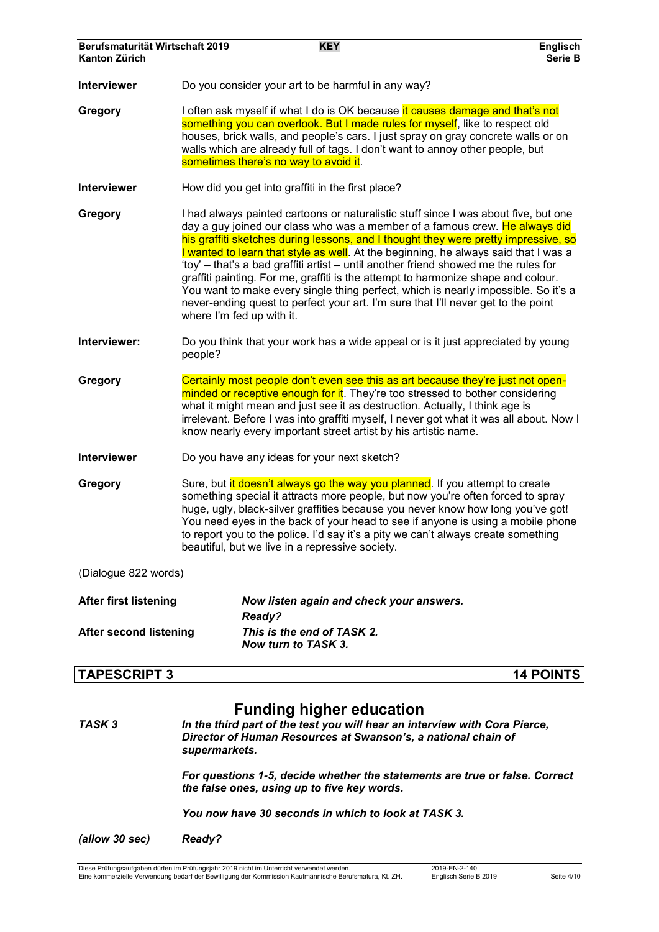| Berufsmaturität Wirtschaft 2019<br>Kanton Zürich |                           | <b>KEY</b>                                                                                                                                                                                                                                                                                                                                                                                                                                                                                                                                                                                                                                                                                              | Englisch<br><b>Serie B</b> |
|--------------------------------------------------|---------------------------|---------------------------------------------------------------------------------------------------------------------------------------------------------------------------------------------------------------------------------------------------------------------------------------------------------------------------------------------------------------------------------------------------------------------------------------------------------------------------------------------------------------------------------------------------------------------------------------------------------------------------------------------------------------------------------------------------------|----------------------------|
| Interviewer                                      |                           | Do you consider your art to be harmful in any way?                                                                                                                                                                                                                                                                                                                                                                                                                                                                                                                                                                                                                                                      |                            |
| Gregory                                          |                           | I often ask myself if what I do is OK because it causes damage and that's not<br>something you can overlook. But I made rules for myself, like to respect old<br>houses, brick walls, and people's cars. I just spray on gray concrete walls or on<br>walls which are already full of tags. I don't want to annoy other people, but<br>sometimes there's no way to avoid it.                                                                                                                                                                                                                                                                                                                            |                            |
| Interviewer                                      |                           | How did you get into graffiti in the first place?                                                                                                                                                                                                                                                                                                                                                                                                                                                                                                                                                                                                                                                       |                            |
| Gregory                                          | where I'm fed up with it. | I had always painted cartoons or naturalistic stuff since I was about five, but one<br>day a guy joined our class who was a member of a famous crew. He always did<br>his graffiti sketches during lessons, and I thought they were pretty impressive, so<br>I wanted to learn that style as well. At the beginning, he always said that I was a<br>'toy' – that's a bad graffiti artist – until another friend showed me the rules for<br>graffiti painting. For me, graffiti is the attempt to harmonize shape and colour.<br>You want to make every single thing perfect, which is nearly impossible. So it's a<br>never-ending quest to perfect your art. I'm sure that I'll never get to the point |                            |
| Interviewer:                                     | people?                   | Do you think that your work has a wide appeal or is it just appreciated by young                                                                                                                                                                                                                                                                                                                                                                                                                                                                                                                                                                                                                        |                            |
| Gregory                                          |                           | Certainly most people don't even see this as art because they're just not open-<br>minded or receptive enough for it. They're too stressed to bother considering<br>what it might mean and just see it as destruction. Actually, I think age is<br>irrelevant. Before I was into graffiti myself, I never got what it was all about. Now I<br>know nearly every important street artist by his artistic name.                                                                                                                                                                                                                                                                                           |                            |
| Interviewer                                      |                           | Do you have any ideas for your next sketch?                                                                                                                                                                                                                                                                                                                                                                                                                                                                                                                                                                                                                                                             |                            |
| Gregory                                          |                           | Sure, but it doesn't always go the way you planned. If you attempt to create<br>something special it attracts more people, but now you're often forced to spray<br>huge, ugly, black-silver graffities because you never know how long you've got!<br>You need eyes in the back of your head to see if anyone is using a mobile phone<br>to report you to the police. I'd say it's a pity we can't always create something<br>beautiful, but we live in a repressive society.                                                                                                                                                                                                                           |                            |
| (Dialogue 822 words)                             |                           |                                                                                                                                                                                                                                                                                                                                                                                                                                                                                                                                                                                                                                                                                                         |                            |
| <b>After first listening</b>                     |                           | Now listen again and check your answers.<br><b>Ready?</b>                                                                                                                                                                                                                                                                                                                                                                                                                                                                                                                                                                                                                                               |                            |
| <b>After second listening</b>                    |                           | This is the end of TASK 2.<br>Now turn to TASK 3.                                                                                                                                                                                                                                                                                                                                                                                                                                                                                                                                                                                                                                                       |                            |
| <b>TAPESCRIPT 3</b>                              |                           |                                                                                                                                                                                                                                                                                                                                                                                                                                                                                                                                                                                                                                                                                                         | <b>14 POINTS</b>           |
|                                                  |                           | <b>Funding higher education</b>                                                                                                                                                                                                                                                                                                                                                                                                                                                                                                                                                                                                                                                                         |                            |

#### *TASK 3 In the third part of the test you will hear an interview with Cora Pierce, Director of Human Resources at Swanson's, a national chain of supermarkets.*

*For questions 1-5, decide whether the statements are true or false. Correct the false ones, using up to five key words.*

*You now have 30 seconds in which to look at TASK 3.*

*(allow 30 sec) Ready?*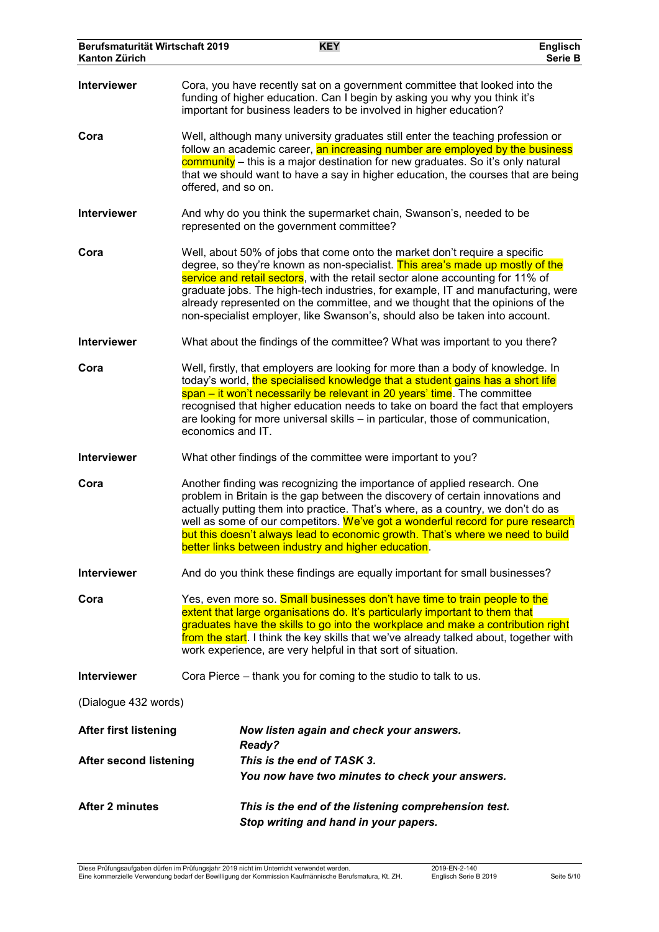| Berufsmaturität Wirtschaft 2019<br>Kanton Zürich |                                                                                                                                                                                                                                                                                                                                                                                                                                         | <b>KEY</b>                                                                                                                                                                                                                                                                                                                                                                                                                                                                                        | Englisch<br><b>Serie B</b> |
|--------------------------------------------------|-----------------------------------------------------------------------------------------------------------------------------------------------------------------------------------------------------------------------------------------------------------------------------------------------------------------------------------------------------------------------------------------------------------------------------------------|---------------------------------------------------------------------------------------------------------------------------------------------------------------------------------------------------------------------------------------------------------------------------------------------------------------------------------------------------------------------------------------------------------------------------------------------------------------------------------------------------|----------------------------|
| Interviewer                                      |                                                                                                                                                                                                                                                                                                                                                                                                                                         | Cora, you have recently sat on a government committee that looked into the<br>funding of higher education. Can I begin by asking you why you think it's<br>important for business leaders to be involved in higher education?                                                                                                                                                                                                                                                                     |                            |
| Cora                                             | Well, although many university graduates still enter the teaching profession or<br>follow an academic career, an increasing number are employed by the business<br>community - this is a major destination for new graduates. So it's only natural<br>that we should want to have a say in higher education, the courses that are being<br>offered, and so on.                                                                          |                                                                                                                                                                                                                                                                                                                                                                                                                                                                                                   |                            |
| <b>Interviewer</b>                               |                                                                                                                                                                                                                                                                                                                                                                                                                                         | And why do you think the supermarket chain, Swanson's, needed to be<br>represented on the government committee?                                                                                                                                                                                                                                                                                                                                                                                   |                            |
| Cora                                             |                                                                                                                                                                                                                                                                                                                                                                                                                                         | Well, about 50% of jobs that come onto the market don't require a specific<br>degree, so they're known as non-specialist. This area's made up mostly of the<br>service and retail sectors, with the retail sector alone accounting for 11% of<br>graduate jobs. The high-tech industries, for example, IT and manufacturing, were<br>already represented on the committee, and we thought that the opinions of the<br>non-specialist employer, like Swanson's, should also be taken into account. |                            |
| <b>Interviewer</b>                               |                                                                                                                                                                                                                                                                                                                                                                                                                                         | What about the findings of the committee? What was important to you there?                                                                                                                                                                                                                                                                                                                                                                                                                        |                            |
| Cora                                             | Well, firstly, that employers are looking for more than a body of knowledge. In<br>today's world, the specialised knowledge that a student gains has a short life<br>span – it won't necessarily be relevant in 20 years' time. The committee<br>recognised that higher education needs to take on board the fact that employers<br>are looking for more universal skills - in particular, those of communication,<br>economics and IT. |                                                                                                                                                                                                                                                                                                                                                                                                                                                                                                   |                            |
| Interviewer                                      |                                                                                                                                                                                                                                                                                                                                                                                                                                         | What other findings of the committee were important to you?                                                                                                                                                                                                                                                                                                                                                                                                                                       |                            |
| Cora                                             |                                                                                                                                                                                                                                                                                                                                                                                                                                         | Another finding was recognizing the importance of applied research. One<br>problem in Britain is the gap between the discovery of certain innovations and<br>actually putting them into practice. That's where, as a country, we don't do as<br>well as some of our competitors. We've got a wonderful record for pure research<br>but this doesn't always lead to economic growth. That's where we need to build<br>better links between industry and higher education.                          |                            |
| Interviewer                                      |                                                                                                                                                                                                                                                                                                                                                                                                                                         | And do you think these findings are equally important for small businesses?                                                                                                                                                                                                                                                                                                                                                                                                                       |                            |
| Cora                                             | Yes, even more so. Small businesses don't have time to train people to the<br>extent that large organisations do. It's particularly important to them that<br>graduates have the skills to go into the workplace and make a contribution right<br>from the start. I think the key skills that we've already talked about, together with<br>work experience, are very helpful in that sort of situation.                                 |                                                                                                                                                                                                                                                                                                                                                                                                                                                                                                   |                            |
| <b>Interviewer</b>                               |                                                                                                                                                                                                                                                                                                                                                                                                                                         | Cora Pierce – thank you for coming to the studio to talk to us.                                                                                                                                                                                                                                                                                                                                                                                                                                   |                            |
| (Dialogue 432 words)                             |                                                                                                                                                                                                                                                                                                                                                                                                                                         |                                                                                                                                                                                                                                                                                                                                                                                                                                                                                                   |                            |
| <b>After first listening</b>                     |                                                                                                                                                                                                                                                                                                                                                                                                                                         | Now listen again and check your answers.<br>Ready?                                                                                                                                                                                                                                                                                                                                                                                                                                                |                            |
| <b>After second listening</b>                    |                                                                                                                                                                                                                                                                                                                                                                                                                                         | This is the end of TASK 3.<br>You now have two minutes to check your answers.                                                                                                                                                                                                                                                                                                                                                                                                                     |                            |
| <b>After 2 minutes</b>                           |                                                                                                                                                                                                                                                                                                                                                                                                                                         | This is the end of the listening comprehension test.<br>Stop writing and hand in your papers.                                                                                                                                                                                                                                                                                                                                                                                                     |                            |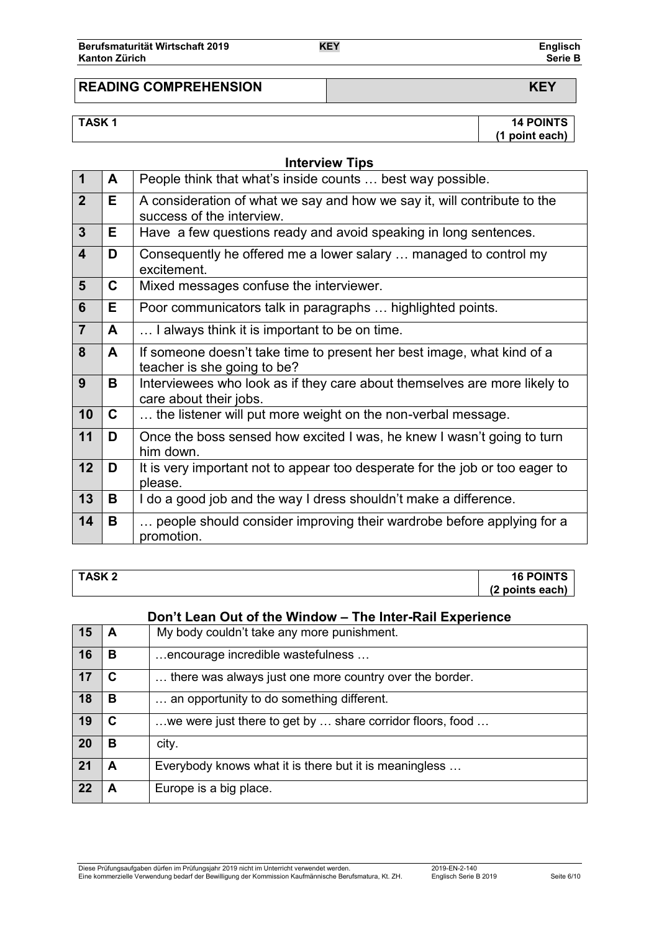| Berufsmaturität Wirtschaft 2019 | <b>KEY</b> | <b>Englisch</b> |
|---------------------------------|------------|-----------------|
| Kanton Zürich                   |            | Serie B         |

# **READING COMPREHENSION KEY**

**TASK 1 14 POINTS (1 point each)**

|                         |    | <b>Interview Tips</b>                                                                                 |
|-------------------------|----|-------------------------------------------------------------------------------------------------------|
| $\mathbf{1}$            | A  | People think that what's inside counts  best way possible.                                            |
| $\overline{2}$          | E. | A consideration of what we say and how we say it, will contribute to the<br>success of the interview. |
| $\overline{3}$          | E. | Have a few questions ready and avoid speaking in long sentences.                                      |
| $\overline{\mathbf{4}}$ | D  | Consequently he offered me a lower salary  managed to control my<br>excitement.                       |
| 5                       | C  | Mixed messages confuse the interviewer.                                                               |
| 6                       | E. | Poor communicators talk in paragraphs  highlighted points.                                            |
| $\overline{7}$          | A  | I always think it is important to be on time.                                                         |
| 8                       | A  | If someone doesn't take time to present her best image, what kind of a<br>teacher is she going to be? |
| 9                       | B  | Interviewees who look as if they care about themselves are more likely to<br>care about their jobs.   |
| 10                      | C  | the listener will put more weight on the non-verbal message.                                          |
| 11                      | D  | Once the boss sensed how excited I was, he knew I wasn't going to turn<br>him down.                   |
| 12                      | D  | It is very important not to appear too desperate for the job or too eager to<br>please.               |
| 13                      | B  | I do a good job and the way I dress shouldn't make a difference.                                      |
| 14                      | B  | people should consider improving their wardrobe before applying for a<br>promotion.                   |

# **TASK 2 16 POINTS (2 points each)**

# **Don't Lean Out of the Window – The Inter-Rail Experience**

| 15 | А | My body couldn't take any more punishment.                |
|----|---|-----------------------------------------------------------|
| 16 | в | encourage incredible wastefulness                         |
| 17 | C | there was always just one more country over the border.   |
| 18 | B | an opportunity to do something different.                 |
| 19 | C | we were just there to get by  share corridor floors, food |
| 20 | в | city.                                                     |
| 21 | A | Everybody knows what it is there but it is meaningless    |
| 22 |   | Europe is a big place.                                    |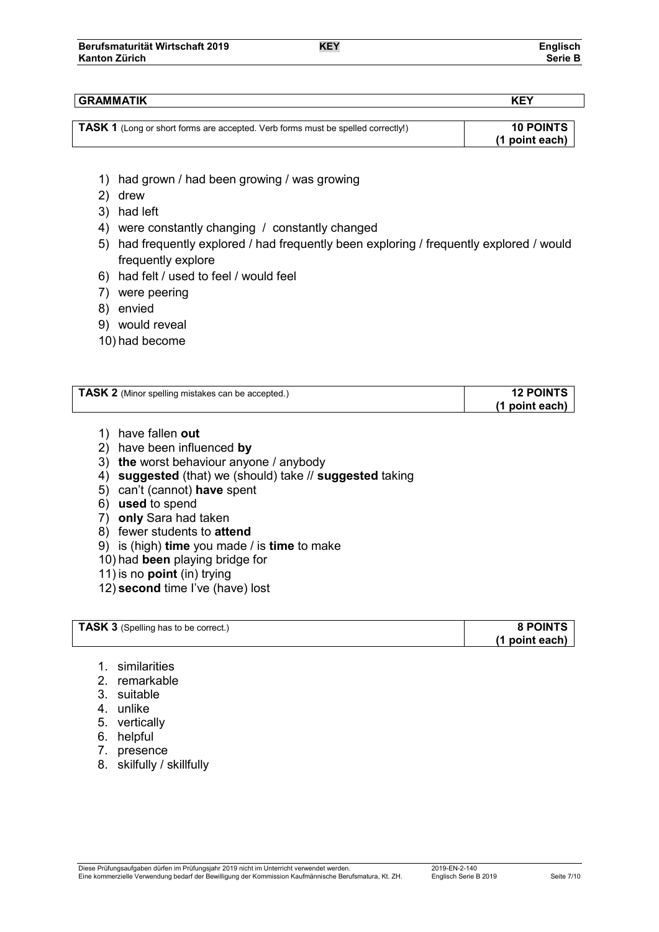## **GRAMMATIK KEY**

| TASK 1 (Long or short forms are accepted. Verb forms must be spelled correctly!) | <b>10 POINTS</b> |
|----------------------------------------------------------------------------------|------------------|
|                                                                                  | (1 point each)   |

- 1) had grown / had been growing / was growing
- 2) drew
- 3) had left
- 4) were constantly changing / constantly changed
- 5) had frequently explored / had frequently been exploring / frequently explored / would frequently explore
- 6) had felt / used to feel / would feel
- 7) were peering
- 8) envied
- 9) would reveal
- 10) had become

| <b>TASK 2</b> (Minor spelling mistakes can be accepted.) | <b>12 POINTS</b> |
|----------------------------------------------------------|------------------|
|                                                          | (1 point each)   |

- 1) have fallen **out**
- 2) have been influenced **by**
- 3) **the** worst behaviour anyone / anybody
- 4) **suggested** (that) we (should) take // **suggested** taking
- 5) can't (cannot) **have** spent
- 6) **used** to spend
- 7) **only** Sara had taken
- 8) fewer students to **attend**
- 9) is (high) **time** you made / is **time** to make
- 10) had **been** playing bridge for
- 11) is no **point** (in) trying
- 12) **second** time I've (have) lost

| <b>TASK 3</b> (Spelling has to be correct.) | <b>8 POINTS</b> |
|---------------------------------------------|-----------------|
|                                             | (1 point each)  |

- 1. similarities
- 2. remarkable
- 3. suitable
- 4. unlike
- 5. vertically
- 6. helpful
- 7. presence
- 8. skilfully / skillfully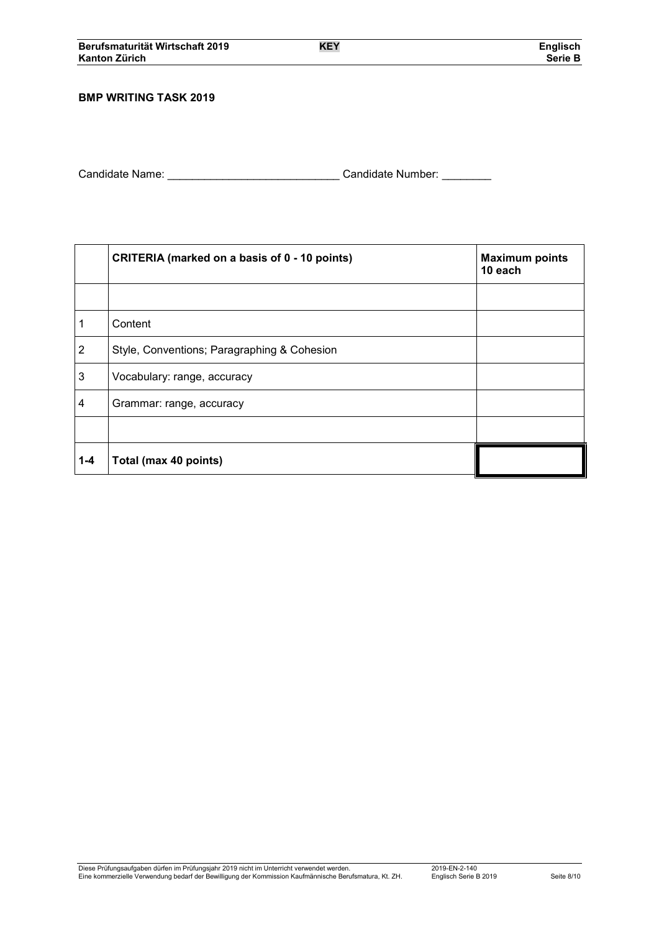## **BMP WRITING TASK 2019**

| Candidate Name: | Candidate Number: |  |
|-----------------|-------------------|--|
|                 |                   |  |

|                | CRITERIA (marked on a basis of 0 - 10 points) | <b>Maximum points</b><br>10 each |  |  |
|----------------|-----------------------------------------------|----------------------------------|--|--|
|                |                                               |                                  |  |  |
| 1              | Content                                       |                                  |  |  |
| $\overline{2}$ | Style, Conventions; Paragraphing & Cohesion   |                                  |  |  |
| 3              | Vocabulary: range, accuracy                   |                                  |  |  |
| 4              | Grammar: range, accuracy                      |                                  |  |  |
|                |                                               |                                  |  |  |
| $1 - 4$        | Total (max 40 points)                         |                                  |  |  |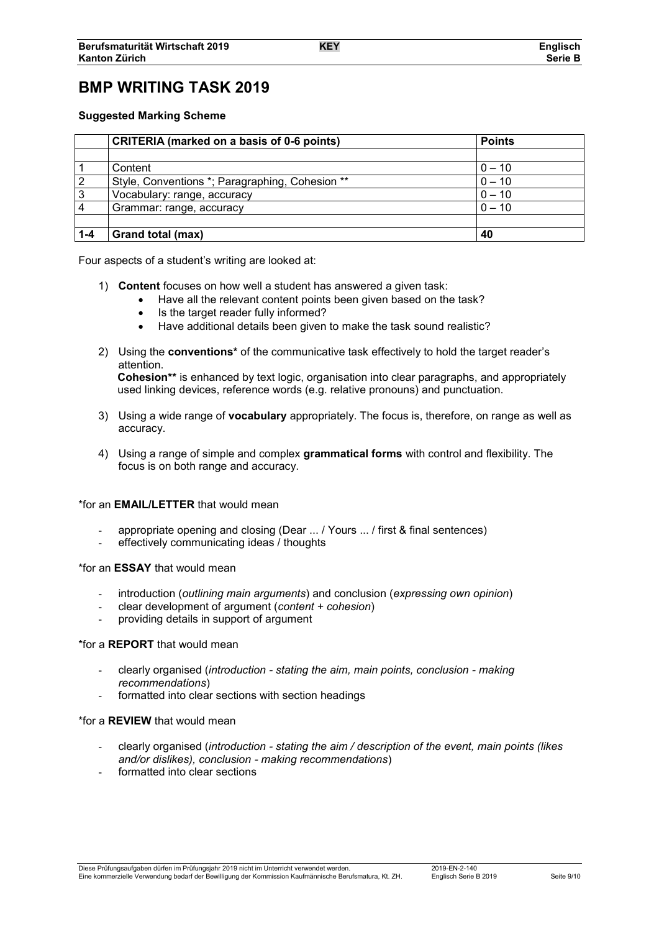# **BMP WRITING TASK 2019**

## **Suggested Marking Scheme**

|         | <b>CRITERIA</b> (marked on a basis of 0-6 points) | <b>Points</b> |  |
|---------|---------------------------------------------------|---------------|--|
|         |                                                   |               |  |
|         | Content                                           | $0 - 10$      |  |
| 2       | Style, Conventions *; Paragraphing, Cohesion **   | $0 - 10$      |  |
| 3       | Vocabulary: range, accuracy                       | $0 - 10$      |  |
|         | $0 - 10$<br>Grammar: range, accuracy              |               |  |
|         |                                                   |               |  |
| $1 - 4$ | Grand total (max)                                 | 40            |  |

Four aspects of a student's writing are looked at:

- 1) **Content** focuses on how well a student has answered a given task:
	- Have all the relevant content points been given based on the task?
	- Is the target reader fully informed?
	- Have additional details been given to make the task sound realistic?
- 2) Using the **conventions\*** of the communicative task effectively to hold the target reader's attention. **Cohesion\*\*** is enhanced by text logic, organisation into clear paragraphs, and appropriately used linking devices, reference words (e.g. relative pronouns) and punctuation.
- 3) Using a wide range of **vocabulary** appropriately. The focus is, therefore, on range as well as accuracy.
- 4) Using a range of simple and complex **grammatical forms** with control and flexibility. The focus is on both range and accuracy.

## \*for an **EMAIL/LETTER** that would mean

- appropriate opening and closing (Dear ... / Yours ... / first & final sentences)
- effectively communicating ideas / thoughts

#### \*for an **ESSAY** that would mean

- introduction (*outlining main arguments*) and conclusion (*expressing own opinion*)
- clear development of argument (*content + cohesion*)
- providing details in support of argument

## \*for a **REPORT** that would mean

- clearly organised (*introduction - stating the aim, main points, conclusion - making recommendations*)
- formatted into clear sections with section headings

#### \*for a **REVIEW** that would mean

- clearly organised (*introduction - stating the aim / description of the event, main points (likes and/or dislikes), conclusion - making recommendations*)
- formatted into clear sections